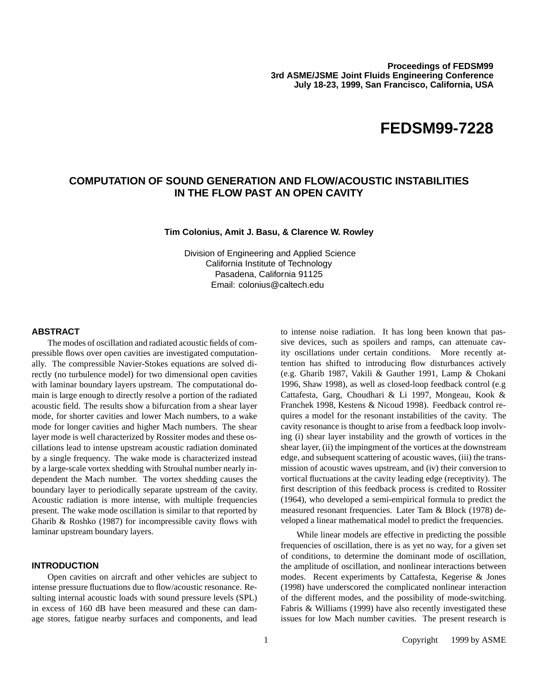# **FEDSM99-7228**

# **COMPUTATION OF SOUND GENERATION AND FLOW/ACOUSTIC INSTABILITIES IN THE FLOW PAST AN OPEN CAVITY**

#### **Tim Colonius, Amit J. Basu, & Clarence W. Rowley**

Division of Engineering and Applied Science California Institute of Technology Pasadena, California 91125 Email: colonius@caltech.edu

#### **ABSTRACT**

The modes of oscillation and radiated acoustic fields of compressible flows over open cavities are investigated computationally. The compressible Navier-Stokes equations are solved directly (no turbulence model) for two dimensional open cavities with laminar boundary layers upstream. The computational domain is large enough to directly resolve a portion of the radiated acoustic field. The results show a bifurcation from a shear layer mode, for shorter cavities and lower Mach numbers, to a wake mode for longer cavities and higher Mach numbers. The shear layer mode is well characterized by Rossiter modes and these oscillations lead to intense upstream acoustic radiation dominated by a single frequency. The wake mode is characterized instead by a large-scale vortex shedding with Strouhal number nearly independent the Mach number. The vortex shedding causes the boundary layer to periodically separate upstream of the cavity. Acoustic radiation is more intense, with multiple frequencies present. The wake mode oscillation is similar to that reported by Gharib & Roshko (1987) for incompressible cavity flows with laminar upstream boundary layers.

# **INTRODUCTION**

Open cavities on aircraft and other vehicles are subject to intense pressure fluctuations due to flow/acoustic resonance. Resulting internal acoustic loads with sound pressure levels (SPL) in excess of 160 dB have been measured and these can damage stores, fatigue nearby surfaces and components, and lead to intense noise radiation. It has long been known that passive devices, such as spoilers and ramps, can attenuate cavity oscillations under certain conditions. More recently attention has shifted to introducing flow disturbances actively (e.g. Gharib 1987, Vakili & Gauther 1991, Lamp & Chokani 1996, Shaw 1998), as well as closed-loop feedback control (e.g Cattafesta, Garg, Choudhari & Li 1997, Mongeau, Kook & Franchek 1998, Kestens & Nicoud 1998). Feedback control requires a model for the resonant instabilities of the cavity. The cavity resonance is thought to arise from a feedback loop involving (i) shear layer instability and the growth of vortices in the shear layer, (ii) the impingment of the vortices at the downstream edge, and subsequent scattering of acoustic waves, (iii) the transmission of acoustic waves upstream, and (iv) their conversion to vortical fluctuations at the cavity leading edge (receptivity). The first description of this feedback process is credited to Rossiter (1964), who developed a semi-empirical formula to predict the measured resonant frequencies. Later Tam & Block (1978) developed a linear mathematical model to predict the frequencies.

While linear models are effective in predicting the possible frequencies of oscillation, there is as yet no way, for a given set of conditions, to determine the dominant mode of oscillation, the amplitude of oscillation, and nonlinear interactions between modes. Recent experiments by Cattafesta, Kegerise & Jones (1998) have underscored the complicated nonlinear interaction of the different modes, and the possibility of mode-switching. Fabris & Williams (1999) have also recently investigated these issues for low Mach number cavities. The present research is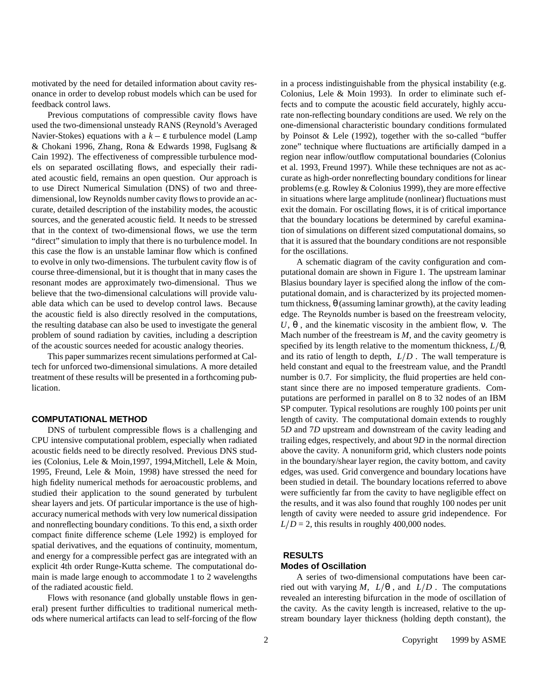motivated by the need for detailed information about cavity resonance in order to develop robust models which can be used for feedback control laws.

Previous computations of compressible cavity flows have used the two-dimensional unsteady RANS (Reynold's Averaged Navier-Stokes) equations with a  $k - \varepsilon$  turbulence model (Lamp & Chokani 1996, Zhang, Rona & Edwards 1998, Fuglsang & Cain 1992). The effectiveness of compressible turbulence models on separated oscillating flows, and especially their radiated acoustic field, remains an open question. Our approach is to use Direct Numerical Simulation (DNS) of two and threedimensional, low Reynolds number cavity flows to provide an accurate, detailed description of the instability modes, the acoustic sources, and the generated acoustic field. It needs to be stressed that in the context of two-dimensional flows, we use the term "direct" simulation to imply that there is no turbulence model. In this case the flow is an unstable laminar flow which is confined to evolve in only two-dimensions. The turbulent cavity flow is of course three-dimensional, but it is thought that in many cases the resonant modes are approximately two-dimensional. Thus we believe that the two-dimensional calculations will provide valuable data which can be used to develop control laws. Because the acoustic field is also directly resolved in the computations, the resulting database can also be used to investigate the general problem of sound radiation by cavities, including a description of the acoustic sources needed for acoustic analogy theories.

This paper summarizes recent simulations performed at Caltech for unforced two-dimensional simulations. A more detailed treatment of these results will be presented in a forthcoming publication.

# **COMPUTATIONAL METHOD**

DNS of turbulent compressible flows is a challenging and CPU intensive computational problem, especially when radiated acoustic fields need to be directly resolved. Previous DNS studies (Colonius, Lele & Moin,1997, 1994,Mitchell, Lele & Moin, 1995, Freund, Lele & Moin, 1998) have stressed the need for high fidelity numerical methods for aeroacoustic problems, and studied their application to the sound generated by turbulent shear layers and jets. Of particular importance is the use of highaccuracy numerical methods with very low numerical dissipation and nonreflecting boundary conditions. To this end, a sixth order compact finite difference scheme (Lele 1992) is employed for spatial derivatives, and the equations of continuity, momentum, and energy for a compressible perfect gas are integrated with an explicit 4th order Runge-Kutta scheme. The computational domain is made large enough to accommodate 1 to 2 wavelengths of the radiated acoustic field.

Flows with resonance (and globally unstable flows in general) present further difficulties to traditional numerical methods where numerical artifacts can lead to self-forcing of the flow

in a process indistinguishable from the physical instability (e.g. Colonius, Lele & Moin 1993). In order to eliminate such effects and to compute the acoustic field accurately, highly accurate non-reflecting boundary conditions are used. We rely on the one-dimensional characteristic boundary conditions formulated by Poinsot & Lele (1992), together with the so-called "buffer zone" technique where fluctuations are artificially damped in a region near inflow/outflow computational boundaries (Colonius et al. 1993, Freund 1997). While these techniques are not as accurate as high-order nonreflecting boundary conditions for linear problems (e.g. Rowley & Colonius 1999), they are more effective in situations where large amplitude (nonlinear) fluctuations must exit the domain. For oscillating flows, it is of critical importance that the boundary locations be determined by careful examination of simulations on different sized computational domains, so that it is assured that the boundary conditions are not responsible for the oscillations.

A schematic diagram of the cavity configuration and computational domain are shown in Figure 1. The upstream laminar Blasius boundary layer is specified along the inflow of the computational domain, and is characterized by its projected momentum thickness, θ (assuming laminar growth), at the cavity leading edge. The Reynolds number is based on the freestream velocity, *U*,  $θ$ , and the kinematic viscosity in the ambient flow, v. The Mach number of the freestream is *M*, and the cavity geometry is specified by its length relative to the momentum thickness,  $L/\theta$ , and its ratio of length to depth,  $L/D$ . The wall temperature is held constant and equal to the freestream value, and the Prandtl number is 0.7. For simplicity, the fluid properties are held constant since there are no imposed temperature gradients. Computations are performed in parallel on 8 to 32 nodes of an IBM SP computer. Typical resolutions are roughly 100 points per unit length of cavity. The computational domain extends to roughly 5*D* and 7*D* upstream and downstream of the cavity leading and trailing edges, respectively, and about 9*D* in the normal direction above the cavity. A nonuniform grid, which clusters node points in the boundary/shear layer region, the cavity bottom, and cavity edges, was used. Grid convergence and boundary locations have been studied in detail. The boundary locations referred to above were sufficiently far from the cavity to have negligible effect on the results, and it was also found that roughly 100 nodes per unit length of cavity were needed to assure grid independence. For  $L/D = 2$ , this results in roughly 400,000 nodes.

#### **RESULTS**

# **Modes of Oscillation**

A series of two-dimensional computations have been carried out with varying *M*,  $L/\theta$ , and  $L/D$ . The computations revealed an interesting bifurcation in the mode of oscillation of the cavity. As the cavity length is increased, relative to the upstream boundary layer thickness (holding depth constant), the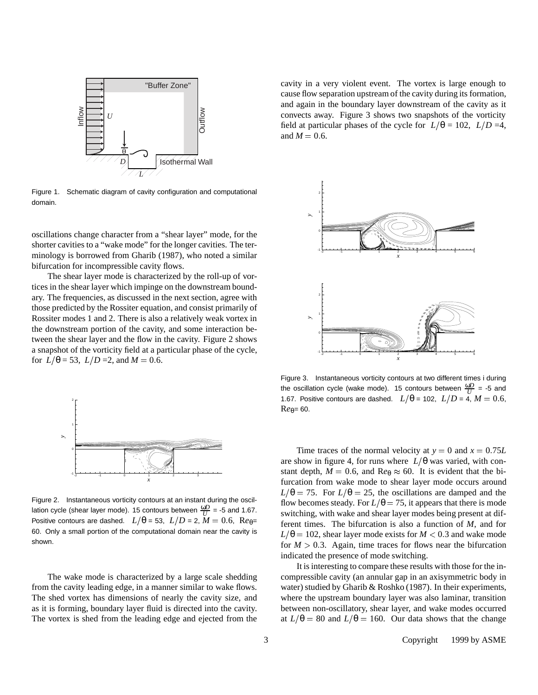

Figure 1. Schematic diagram of cavity configuration and computational domain.

oscillations change character from a "shear layer" mode, for the shorter cavities to a "wake mode" for the longer cavities. The terminology is borrowed from Gharib (1987), who noted a similar bifurcation for incompressible cavity flows.

The shear layer mode is characterized by the roll-up of vortices in the shear layer which impinge on the downstream boundary. The frequencies, as discussed in the next section, agree with those predicted by the Rossiter equation, and consist primarily of Rossiter modes 1 and 2. There is also a relatively weak vortex in the downstream portion of the cavity, and some interaction between the shear layer and the flow in the cavity. Figure 2 shows a snapshot of the vorticity field at a particular phase of the cycle, for  $L/\theta = 53$ ,  $L/D = 2$ , and  $M = 0.6$ .



Figure 2. Instantaneous vorticity contours at an instant during the oscillation cycle (shear layer mode). 15 contours between  $\frac{\omega D}{U}$  = -5 and 1.67. Positive contours are dashed.  $L/\theta = 53$ ,  $L/D = 2$ ,  $\tilde{M} = 0.6$ , Re<sub> $\theta$ </sub>= 60. Only a small portion of the computational domain near the cavity is shown.

The wake mode is characterized by a large scale shedding from the cavity leading edge, in a manner similar to wake flows. The shed vortex has dimensions of nearly the cavity size, and as it is forming, boundary layer fluid is directed into the cavity. The vortex is shed from the leading edge and ejected from the

cavity in a very violent event. The vortex is large enough to cause flow separation upstream of the cavity during its formation, and again in the boundary layer downstream of the cavity as it convects away. Figure 3 shows two snapshots of the vorticity field at particular phases of the cycle for  $L/\theta = 102$ ,  $L/D = 4$ , and  $M = 0.6$ .



Figure 3. Instantaneous vorticity contours at two different times i during the oscillation cycle (wake mode). 15 contours between  $\frac{\omega D}{U}$  = -5 and 1.67. Positive contours are dashed.  $L/\theta = 102$ ,  $L/D = 4$ ,  $M = 0.6$ ,  $Re_{\theta}= 60.$ 

Time traces of the normal velocity at  $y = 0$  and  $x = 0.75L$ are show in figure 4, for runs where  $L/\theta$  was varied, with constant depth,  $M = 0.6$ , and  $Re_\theta \approx 60$ . It is evident that the bifurcation from wake mode to shear layer mode occurs around  $L/\theta = 75$ . For  $L/\theta = 25$ , the oscillations are damped and the flow becomes steady. For  $L/\theta = 75$ , it appears that there is mode switching, with wake and shear layer modes being present at different times. The bifurcation is also a function of *M*, and for  $L/\theta = 102$ , shear layer mode exists for *M* < 0.3 and wake mode for  $M > 0.3$ . Again, time traces for flows near the bifurcation indicated the presence of mode switching.

It is interesting to compare these results with those for the incompressible cavity (an annular gap in an axisymmetric body in water) studied by Gharib & Roshko (1987). In their experiments, where the upstream boundary layer was also laminar, transition between non-oscillatory, shear layer, and wake modes occurred at  $L/\theta = 80$  and  $L/\theta = 160$ . Our data shows that the change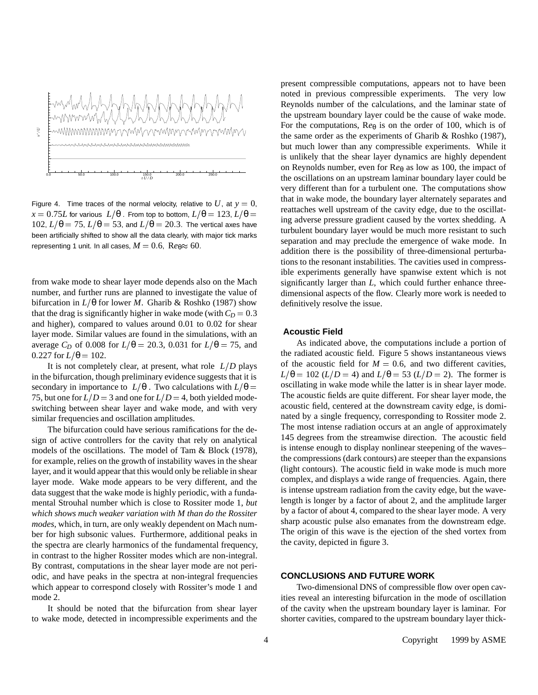

Figure 4. Time traces of the normal velocity, relative to  $U$ , at  $y = 0$ ,  $x = 0.75L$  for various  $L/\theta$ . From top to bottom,  $L/\theta = 123$ ,  $L/\theta =$ 102,  $L/\theta = 75$ ,  $L/\theta = 53$ , and  $L/\theta = 20.3$ . The vertical axes have been artificially shifted to show all the data clearly, with major tick marks representing 1 unit. In all cases,  $M = 0.6$ ,  $Re_\theta \approx 60$ .

from wake mode to shear layer mode depends also on the Mach number, and further runs are planned to investigate the value of bifurcation in  $L/\theta$  for lower *M*. Gharib & Roshko (1987) show that the drag is significantly higher in wake mode (with  $C_D = 0.3$ ) and higher), compared to values around 0.01 to 0.02 for shear layer mode. Similar values are found in the simulations, with an average *C<sub>D</sub>* of 0.008 for  $L/\theta = 20.3$ , 0.031 for  $L/\theta = 75$ , and  $0.227$  for  $L/\theta = 102$ .

It is not completely clear, at present, what role  $L/D$  plays in the bifurcation, though preliminary evidence suggests that it is secondary in importance to  $L/\theta$ . Two calculations with  $L/\theta=$ 75, but one for  $L/D = 3$  and one for  $L/D = 4$ , both yielded modeswitching between shear layer and wake mode, and with very similar frequencies and oscillation amplitudes.

The bifurcation could have serious ramifications for the design of active controllers for the cavity that rely on analytical models of the oscillations. The model of Tam & Block (1978), for example, relies on the growth of instability waves in the shear layer, and it would appear that this would only be reliable in shear layer mode. Wake mode appears to be very different, and the data suggest that the wake mode is highly periodic, with a fundamental Strouhal number which is close to Rossiter mode 1, *but which shows much weaker variation with M than do the Rossiter modes*, which, in turn, are only weakly dependent on Mach number for high subsonic values. Furthermore, additional peaks in the spectra are clearly harmonics of the fundamental frequency, in contrast to the higher Rossiter modes which are non-integral. By contrast, computations in the shear layer mode are not periodic, and have peaks in the spectra at non-integral frequencies which appear to correspond closely with Rossiter's mode 1 and mode 2.

It should be noted that the bifurcation from shear layer to wake mode, detected in incompressible experiments and the present compressible computations, appears not to have been noted in previous compressible experiments. The very low Reynolds number of the calculations, and the laminar state of the upstream boundary layer could be the cause of wake mode. For the computations,  $\text{Re}_{\theta}$  is on the order of 100, which is of the same order as the experiments of Gharib & Roshko (1987), but much lower than any compressible experiments. While it is unlikely that the shear layer dynamics are highly dependent on Reynolds number, even for R*e*<sup>θ</sup> as low as 100, the impact of the oscillations on an upstream laminar boundary layer could be very different than for a turbulent one. The computations show that in wake mode, the boundary layer alternately separates and reattaches well upstream of the cavity edge, due to the oscillating adverse pressure gradient caused by the vortex shedding. A turbulent boundary layer would be much more resistant to such separation and may preclude the emergence of wake mode. In addition there is the possibility of three-dimensional perturbations to the resonant instabilities. The cavities used in compressible experiments generally have spanwise extent which is not significantly larger than *L*, which could further enhance threedimensional aspects of the flow. Clearly more work is needed to definitively resolve the issue.

# **Acoustic Field**

As indicated above, the computations include a portion of the radiated acoustic field. Figure 5 shows instantaneous views of the acoustic field for  $M = 0.6$ , and two different cavities,  $L/\theta = 102$  (*L*/*D* = 4) and *L*/ $\theta = 53$  (*L*/*D* = 2). The former is oscillating in wake mode while the latter is in shear layer mode. The acoustic fields are quite different. For shear layer mode, the acoustic field, centered at the downstream cavity edge, is dominated by a single frequency, corresponding to Rossiter mode 2. The most intense radiation occurs at an angle of approximately 145 degrees from the streamwise direction. The acoustic field is intense enough to display nonlinear steepening of the waves– the compressions (dark contours) are steeper than the expansions (light contours). The acoustic field in wake mode is much more complex, and displays a wide range of frequencies. Again, there is intense upstream radiation from the cavity edge, but the wavelength is longer by a factor of about 2, and the amplitude larger by a factor of about 4, compared to the shear layer mode. A very sharp acoustic pulse also emanates from the downstream edge. The origin of this wave is the ejection of the shed vortex from the cavity, depicted in figure 3.

# **CONCLUSIONS AND FUTURE WORK**

Two-dimensional DNS of compressible flow over open cavities reveal an interesting bifurcation in the mode of oscillation of the cavity when the upstream boundary layer is laminar. For shorter cavities, compared to the upstream boundary layer thick-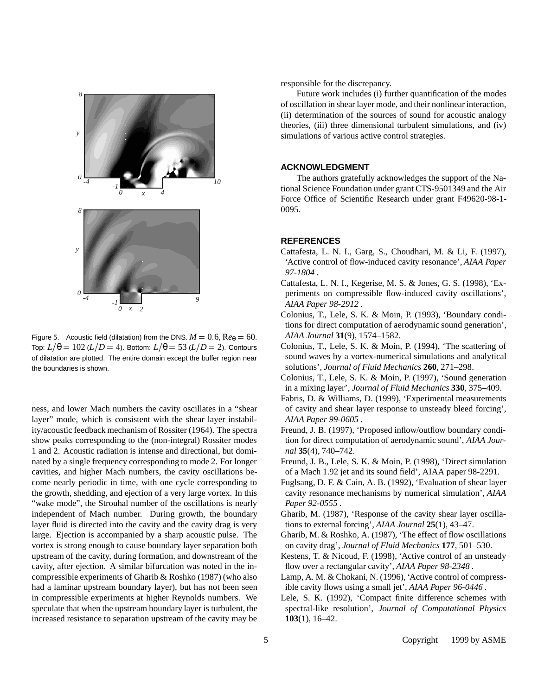

Figure 5. Acoustic field (dilatation) from the DNS.  $M = 0.6$ ,  $Re_\theta = 60$ . Top:  $L/\theta = 102$  ( $L/D = 4$ ). Bottom:  $L/\theta = 53$  ( $L/D = 2$ ). Contours of dilatation are plotted. The entire domain except the buffer region near the boundaries is shown.

ness, and lower Mach numbers the cavity oscillates in a "shear layer" mode, which is consistent with the shear layer instability/acoustic feedback mechanism of Rossiter (1964). The spectra show peaks corresponding to the (non-integral) Rossiter modes 1 and 2. Acoustic radiation is intense and directional, but dominated by a single frequency corresponding to mode 2. For longer cavities, and higher Mach numbers, the cavity oscillations become nearly periodic in time, with one cycle corresponding to the growth, shedding, and ejection of a very large vortex. In this "wake mode", the Strouhal number of the oscillations is nearly independent of Mach number. During growth, the boundary layer fluid is directed into the cavity and the cavity drag is very large. Ejection is accompanied by a sharp acoustic pulse. The vortex is strong enough to cause boundary layer separation both upstream of the cavity, during formation, and downstream of the cavity, after ejection. A similar bifurcation was noted in the incompressible experiments of Gharib & Roshko (1987) (who also had a laminar upstream boundary layer), but has not been seen in compressible experiments at higher Reynolds numbers. We speculate that when the upstream boundary layer is turbulent, the increased resistance to separation upstream of the cavity may be responsible for the discrepancy.

Future work includes (i) further quantification of the modes of oscillation in shear layer mode, and their nonlinear interaction, (ii) determination of the sources of sound for acoustic analogy theories, (iii) three dimensional turbulent simulations, and (iv) simulations of various active control strategies.

# **ACKNOWLEDGMENT**

The authors gratefully acknowledges the support of the National Science Foundation under grant CTS-9501349 and the Air Force Office of Scientific Research under grant F49620-98-1- 0095.

### **REFERENCES**

- Cattafesta, L. N. I., Garg, S., Choudhari, M. & Li, F. (1997), 'Active control of flow-induced cavity resonance', *AIAA Paper 97-1804* .
- Cattafesta, L. N. I., Kegerise, M. S. & Jones, G. S. (1998), 'Experiments on compressible flow-induced cavity oscillations', *AIAA Paper 98-2912* .
- Colonius, T., Lele, S. K. & Moin, P. (1993), 'Boundary conditions for direct computation of aerodynamic sound generation', *AIAA Journal* **31**(9), 1574–1582.
- Colonius, T., Lele, S. K. & Moin, P. (1994), 'The scattering of sound waves by a vortex-numerical simulations and analytical solutions', *Journal of Fluid Mechanics* **260**, 271–298.
- Colonius, T., Lele, S. K. & Moin, P. (1997), 'Sound generation in a mixing layer', *Journal of Fluid Mechanics* **330**, 375–409.
- Fabris, D. & Williams, D. (1999), 'Experimental measurements of cavity and shear layer response to unsteady bleed forcing', *AIAA Paper 99-0605* .
- Freund, J. B. (1997), 'Proposed inflow/outflow boundary condition for direct computation of aerodynamic sound', *AIAA Journal* **35**(4), 740–742.
- Freund, J. B., Lele, S. K. & Moin, P. (1998), 'Direct simulation of a Mach 1.92 jet and its sound field', AIAA paper 98-2291.
- Fuglsang, D. F. & Cain, A. B. (1992), 'Evaluation of shear layer cavity resonance mechanisms by numerical simulation', *AIAA Paper 92-0555* .
- Gharib, M. (1987), 'Response of the cavity shear layer oscillations to external forcing', *AIAA Journal* **25**(1), 43–47.
- Gharib, M. & Roshko, A. (1987), 'The effect of flow oscillations on cavity drag', *Journal of Fluid Mechanics* **177**, 501–530.
- Kestens, T. & Nicoud, F. (1998), 'Active control of an unsteady flow over a rectangular cavity', *AIAA Paper 98-2348* .
- Lamp, A. M. & Chokani, N. (1996), 'Active control of compressible cavity flows using a small jet', *AIAA Paper 96-0446* .
- Lele, S. K. (1992), 'Compact finite difference schemes with spectral-like resolution', *Journal of Computational Physics* **103**(1), 16–42.